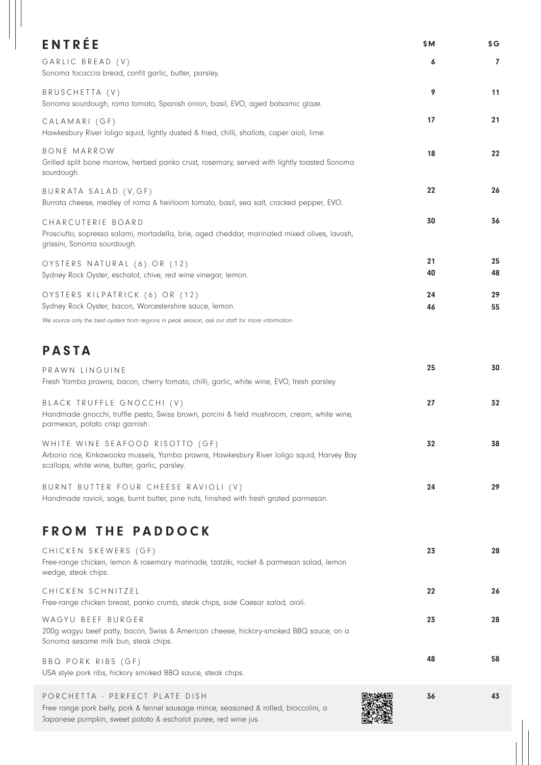| <b>ENTRÉE</b>                                                                                                                                                                            | \$M      | \$G            |
|------------------------------------------------------------------------------------------------------------------------------------------------------------------------------------------|----------|----------------|
| GARLIC BREAD (V)<br>Sonoma focaccia bread, confit garlic, butter, parsley.                                                                                                               | 6        | $\overline{7}$ |
| BRUSCHETTA (V)<br>Sonoma sourdough, roma tomato, Spanish onion, basil, EVO, aged balsamic glaze.                                                                                         | 9        | 11             |
| CALAMARI (GF)<br>Hawkesbury River loligo squid, lightly dusted & fried, chilli, shallots, caper aioli, lime.                                                                             | 17       | 21             |
| <b>BONE MARROW</b><br>Grilled split bone marrow, herbed panko crust, rosemary, served with lightly toasted Sonoma<br>sourdough.                                                          | 18       | 22             |
| BURRATA SALAD (V, GF)<br>Burrata cheese, medley of roma & heirloom tomato, basil, sea salt, cracked pepper, EVO.                                                                         | 22       | 26             |
| CHARCUTERIE BOARD<br>Prosciutto, sopressa salami, mortadella, brie, aged cheddar, marinated mixed olives, lavosh,<br>grissini, Sonoma sourdough.                                         | 30       | 36             |
| OYSTERS NATURAL (6) OR (12)<br>Sydney Rock Oyster, eschalot, chive, red wine vinegar, lemon.                                                                                             | 21<br>40 | 25<br>48       |
| OYSTERS KILPATRICK (6) OR (12)<br>Sydney Rock Oyster, bacon, Worcestershire sauce, lemon.                                                                                                | 24<br>46 | 29<br>55       |
| We source only the best oysters from regions in peak season, ask our staff for more information                                                                                          |          |                |
| <b>PASTA</b>                                                                                                                                                                             |          |                |
| PRAWN LINGUINE<br>Fresh Yamba prawns, bacon, cherry tomato, chilli, garlic, white wine, EVO, fresh parsley.                                                                              | 25       | 30             |
| BLACK TRUFFLE GNOCCHI (V)<br>Handmade gnocchi, truffle pesto, Swiss brown, porcini & field mushroom, cream, white wine,<br>parmesan, potato crisp garnish.                               | 27       | 32             |
| WHITE WINE SEAFOOD RISOTTO (GF)<br>Arborio rice, Kinkawooka mussels, Yamba prawns, Hawkesbury River loligo squid, Harvey Bay<br>scallops, white wine, butter, garlic, parsley.           | 32       | 38             |
| BURNT BUTTER FOUR CHEESE RAVIOLI (V)<br>Handmade ravioli, sage, burnt butter, pine nuts, finished with fresh grated parmesan.                                                            | 24       | 29             |
| <b>FROM THE PADDOCK</b>                                                                                                                                                                  |          |                |
| CHICKEN SKEWERS (GF)<br>Free-range chicken, lemon & rosemary marinade, tzatziki, rocket & parmesan salad, lemon<br>wedge, steak chips.                                                   | 23       | 28             |
| CHICKEN SCHNITZEL<br>Free-range chicken breast, panko crumb, steak chips, side Caesar salad, aioli.                                                                                      | 22       | 26             |
| WAGYU BEEF BURGER<br>200g wagyu beef patty, bacon, Swiss & American cheese, hickory-smoked BBQ sauce, on a<br>Sonoma sesame milk bun, steak chips.                                       | 23       | 28             |
| BBQ PORK RIBS (GF)<br>USA style pork ribs, hickory smoked BBQ sauce, steak chips.                                                                                                        | 48       | 58             |
| PORCHETTA - PERFECT PLATE DISH<br>Free range pork belly, pork & fennel sausage mince, seasoned & rolled, broccolini, a<br>Japanese pumpkin, sweet potato & eschalot puree, red wine jus. | 36       | 43             |